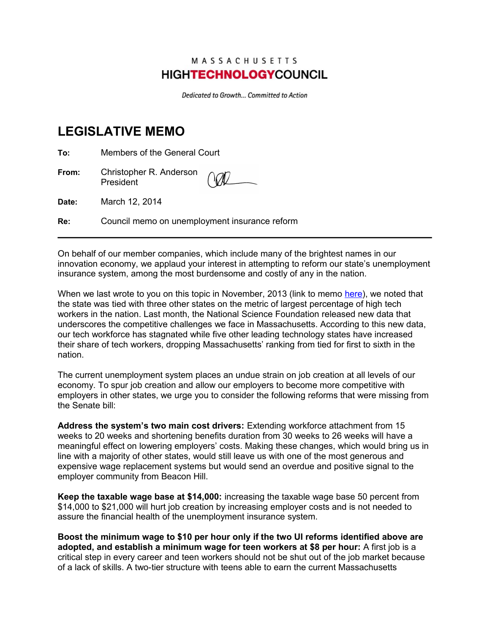## MASSACHUSETTS **HIGHTECHNOLOGY**COUNCIL

Dedicated to Growth... Committed to Action

## **LEGISLATIVE MEMO**

**To:** Members of the General Court

**From:** Christopher R. Anderson President

**Date:** March 12, 2014

**Re:** Council memo on unemployment insurance reform

On behalf of our member companies, which include many of the brightest names in our innovation economy, we applaud your interest in attempting to reform our state's unemployment insurance system, among the most burdensome and costly of any in the nation.

When we last wrote to you on this topic in November, 2013 (link to memo [here\)](http://mhtc.org/images/UIToLeg11252013.pdf), we noted that the state was tied with three other states on the metric of largest percentage of high tech workers in the nation. Last month, the National Science Foundation released new data that underscores the competitive challenges we face in Massachusetts. According to this new data, our tech workforce has stagnated while five other leading technology states have increased their share of tech workers, dropping Massachusetts' ranking from tied for first to sixth in the nation.

The current unemployment system places an undue strain on job creation at all levels of our economy. To spur job creation and allow our employers to become more competitive with employers in other states, we urge you to consider the following reforms that were missing from the Senate bill:

**Address the system's two main cost drivers:** Extending workforce attachment from 15 weeks to 20 weeks and shortening benefits duration from 30 weeks to 26 weeks will have a meaningful effect on lowering employers' costs. Making these changes, which would bring us in line with a majority of other states, would still leave us with one of the most generous and expensive wage replacement systems but would send an overdue and positive signal to the employer community from Beacon Hill.

**Keep the taxable wage base at \$14,000:** increasing the taxable wage base 50 percent from \$14,000 to \$21,000 will hurt job creation by increasing employer costs and is not needed to assure the financial health of the unemployment insurance system.

**Boost the minimum wage to \$10 per hour only if the two UI reforms identified above are adopted, and establish a minimum wage for teen workers at \$8 per hour:** A first job is a critical step in every career and teen workers should not be shut out of the job market because of a lack of skills. A two-tier structure with teens able to earn the current Massachusetts